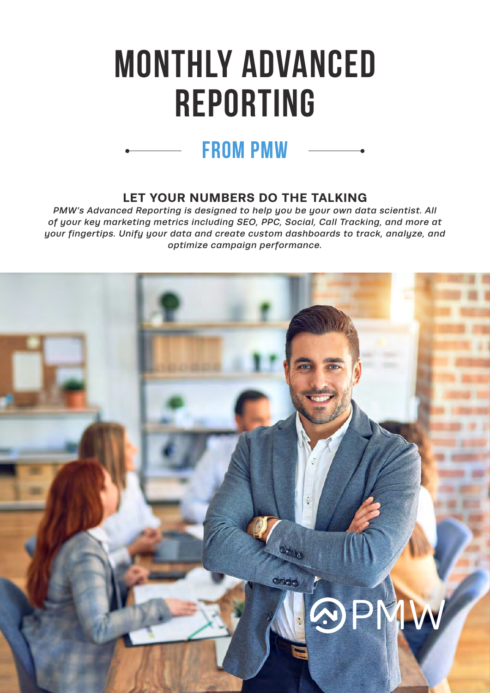# **MONTHLY ADVANCED REPORTING**

#### **LET YOUR NUMBERS DO THE TALKING**

**from pmw**

*PMW's Advanced Reporting is designed to help you be your own data scientist. All of your key marketing metrics including SEO, PPC, Social, Call Tracking, and more at your fingertips. Unify your data and create custom dashboards to track, analyze, and optimize campaign performance.* 

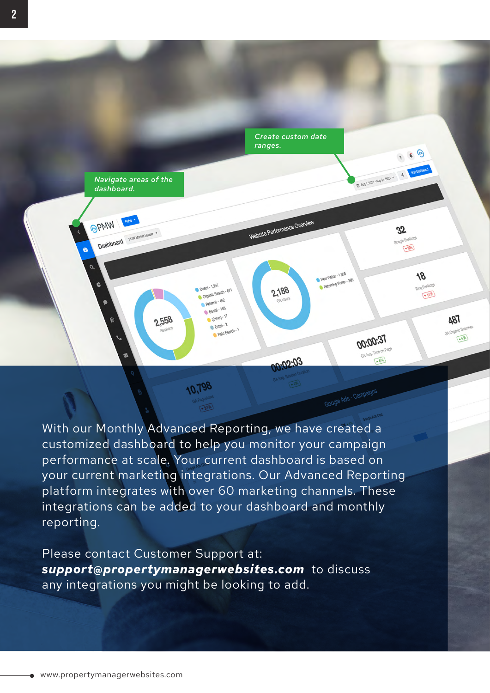

With our Monthly Advanced Reporting, we have created a customized dashboard to help you monitor your campaign performance at scale. Your current dashboard is based on your current marketing integrations. Our Advanced Reporting platform integrates with over 60 marketing channels. These integrations can be added to your dashboard and monthly reporting.

Please contact Customer Support at: *support@propertymanagerwebsites.com* to discuss any integrations you might be looking to add.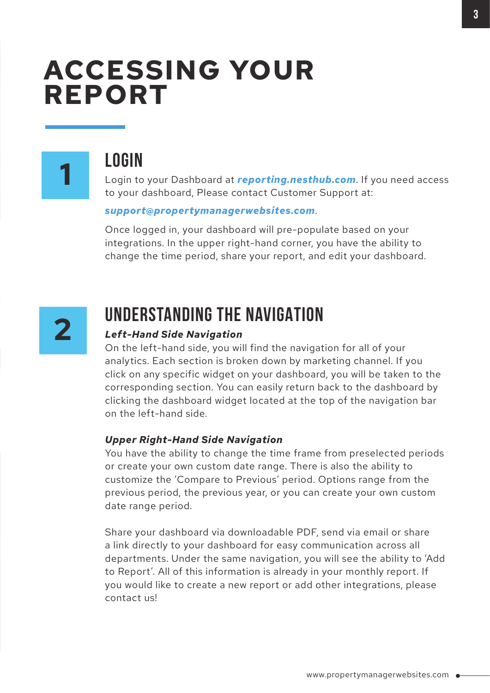### **ACCESSING YOUR REPORT**



### **LOGIN**

Login to your Dashboard at *[reporting.nesthub.com](https://reporting.nesthub.com/login)*. If you need access to your dashboard, Please contact Customer Support at:

#### *support@propertymanagerwebsites.com*.

Once logged in, your dashboard will pre-populate based on your integrations. In the upper right-hand corner, you have the ability to change the time period, share your report, and edit your dashboard.



### **UNDERSTANDING THE NAVIGATION**

#### *Left-Hand Side Navigation*

On the left-hand side, you will find the navigation for all of your analytics. Each section is broken down by marketing channel. If you click on any specific widget on your dashboard, you will be taken to the corresponding section. You can easily return back to the dashboard by clicking the dashboard widget located at the top of the navigation bar on the left-hand side.

#### *Upper Right-Hand Side Navigation*

You have the ability to change the time frame from preselected periods or create your own custom date range. There is also the ability to customize the 'Compare to Previous' period. Options range from the previous period, the previous year, or you can create your own custom date range period.

Share your dashboard via downloadable PDF, send via email or share a link directly to your dashboard for easy communication across all departments. Under the same navigation, you will see the ability to 'Add to Report'. All of this information is already in your monthly report. If you would like to create a new report or add other integrations, please contact us!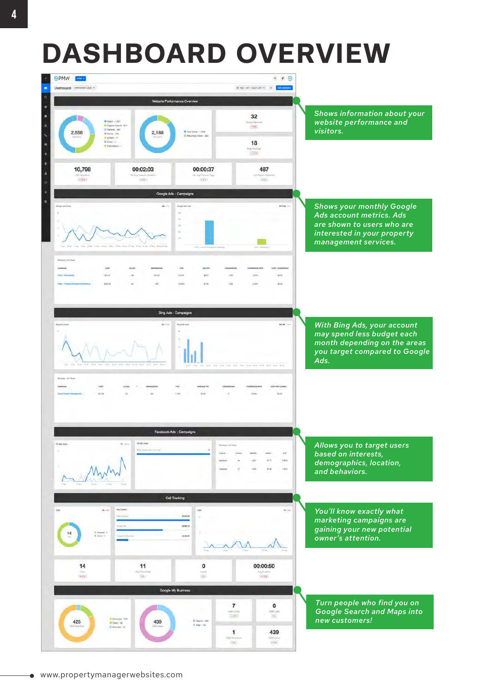## **DASHBOARD OVERVIEW**

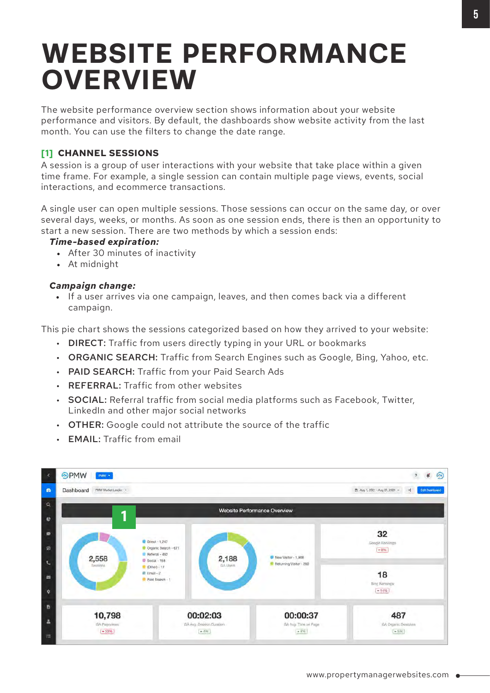### **WEBSITE PERFORMANCE OVERVIEW**

The website performance overview section shows information about your website performance and visitors. By default, the dashboards show website activity from the last month. You can use the filters to change the date range.

#### **[1] CHANNEL SESSIONS**

A session is a group of user interactions with your website that take place within a given time frame. For example, a single session can contain multiple page views, events, social interactions, and ecommerce transactions.

A single user can open multiple sessions. Those sessions can occur on the same day, or over several days, weeks, or months. As soon as one session ends, there is then an opportunity to start a new session. There are two methods by which a session ends:

#### *Time-based expiration:*

- After 30 minutes of inactivity
- At midnight

#### *Campaign change:*

• If a user arrives via one campaign, leaves, and then comes back via a different campaign.

This pie chart shows the sessions categorized based on how they arrived to your website:

- DIRECT: Traffic from users directly typing in your URL or bookmarks
- ORGANIC SEARCH: Traffic from Search Engines such as Google, Bing, Yahoo, etc.
- PAID SEARCH: Traffic from your Paid Search Ads
- REFERRAL: Traffic from other websites
- SOCIAL: Referral traffic from social media platforms such as Facebook, Twitter, LinkedIn and other major social networks
- OTHER: Google could not attribute the source of the traffic
- EMAIL: Traffic from email

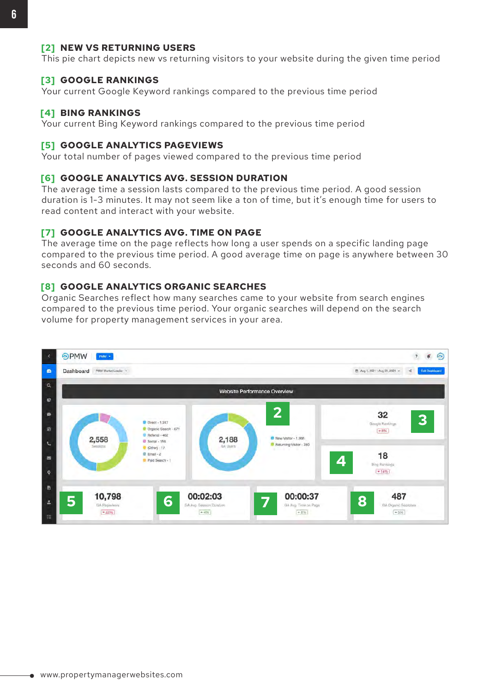#### **[2] NEW VS RETURNING USERS**

This pie chart depicts new vs returning visitors to your website during the given time period

#### **[3] GOOGLE RANKINGS**

Your current Google Keyword rankings compared to the previous time period

#### **[4] BING RANKINGS**

Your current Bing Keyword rankings compared to the previous time period

#### **[5] GOOGLE ANALYTICS PAGEVIEWS**

Your total number of pages viewed compared to the previous time period

#### **[6] GOOGLE ANALYTICS AVG. SESSION DURATION**

The average time a session lasts compared to the previous time period. A good session duration is 1-3 minutes. It may not seem like a ton of time, but it's enough time for users to read content and interact with your website.

#### **[7] GOOGLE ANALYTICS AVG. TIME ON PAGE**

The average time on the page reflects how long a user spends on a specific landing page compared to the previous time period. A good average time on page is anywhere between 30 seconds and 60 seconds.

#### **[8] GOOGLE ANALYTICS ORGANIC SEARCHES**

Organic Searches reflect how many searches came to your website from search engines compared to the previous time period. Your organic searches will depend on the search volume for property management services in your area.

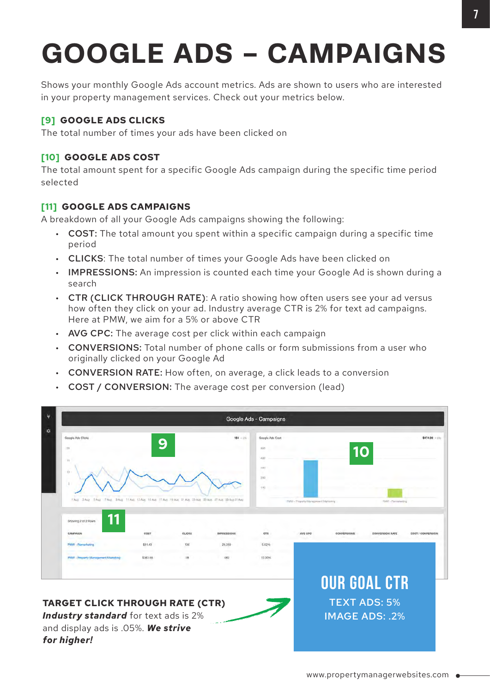# **GOOGLE ADS - CAMPAIGNS**

Shows your monthly Google Ads account metrics. Ads are shown to users who are interested in your property management services. Check out your metrics below.

#### **[9] GOOGLE ADS CLICKS**

The total number of times your ads have been clicked on

#### **[10] GOOGLE ADS COST**

The total amount spent for a specific Google Ads campaign during the specific time period selected

#### **[11] GOOGLE ADS CAMPAIGNS**

A breakdown of all your Google Ads campaigns showing the following:

- COST: The total amount you spent within a specific campaign during a specific time period
- CLICKS: The total number of times your Google Ads have been clicked on
- IMPRESSIONS: An impression is counted each time your Google Ad is shown during a search
- CTR (CLICK THROUGH RATE): A ratio showing how often users see your ad versus how often they click on your ad. Industry average CTR is 2% for text ad campaigns. Here at PMW, we aim for a 5% or above CTR
- AVG CPC: The average cost per click within each campaign
- CONVERSIONS: Total number of phone calls or form submissions from a user who originally clicked on your Google Ad
- CONVERSION RATE: How often, on average, a click leads to a conversion
- COST / CONVERSION: The average cost per conversion (lead)

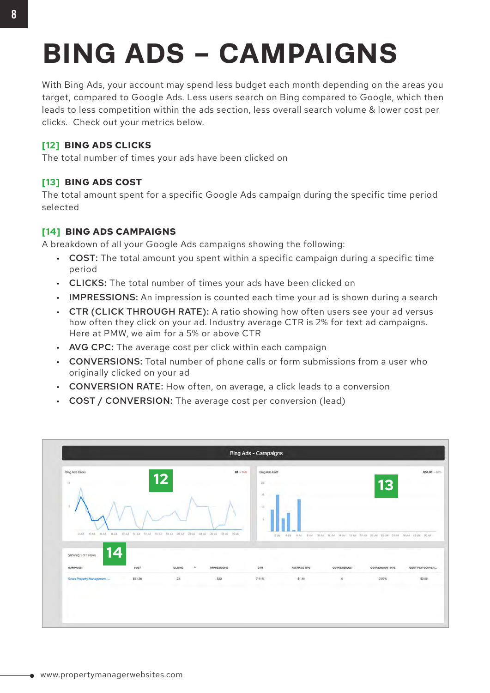## **BING ADS - CAMPAIGNS**

With Bing Ads, your account may spend less budget each month depending on the areas you target, compared to Google Ads. Less users search on Bing compared to Google, which then leads to less competition within the ads section, less overall search volume & lower cost per clicks. Check out your metrics below.

#### **[12] BING ADS CLICKS**

The total number of times your ads have been clicked on

#### **[13] BING ADS COST**

The total amount spent for a specific Google Ads campaign during the specific time period selected

#### **[14] BING ADS CAMPAIGNS**

A breakdown of all your Google Ads campaigns showing the following:

- COST: The total amount you spent within a specific campaign during a specific time period
- CLICKS: The total number of times your ads have been clicked on
- IMPRESSIONS: An impression is counted each time your ad is shown during a search
- CTR (CLICK THROUGH RATE): A ratio showing how often users see your ad versus how often they click on your ad. Industry average CTR is 2% for text ad campaigns. Here at PMW, we aim for a 5% or above CTR
- AVG CPC: The average cost per click within each campaign
- CONVERSIONS: Total number of phone calls or form submissions from a user who originally clicked on your ad
- CONVERSION RATE: How often, on average, a click leads to a conversion
- COST / CONVERSION: The average cost per conversion (lead)

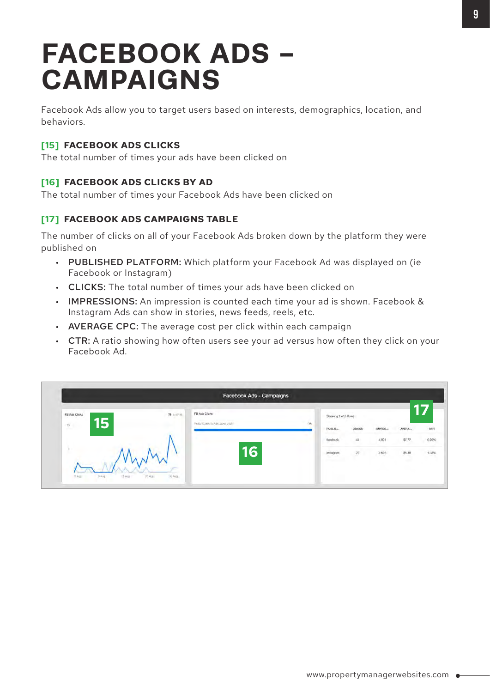### **FACEBOOK ADS - CAMPAIGNS**

Facebook Ads allow you to target users based on interests, demographics, location, and behaviors.

#### **[15] FACEBOOK ADS CLICKS**

The total number of times your ads have been clicked on

#### **[16] FACEBOOK ADS CLICKS BY AD**

The total number of times your Facebook Ads have been clicked on

#### **[17] FACEBOOK ADS CAMPAIGNS TABLE**

The number of clicks on all of your Facebook Ads broken down by the platform they were published on

- PUBLISHED PLATFORM: Which platform your Facebook Ad was displayed on (ie Facebook or Instagram)
- CLICKS: The total number of times your ads have been clicked on
- IMPRESSIONS: An impression is counted each time your ad is shown. Facebook & Instagram Ads can show in stories, news feeds, reels, etc.
- AVERAGE CPC: The average cost per click within each campaign
- CTR: A ratio showing how often users see your ad versus how often they click on your Facebook Ad.

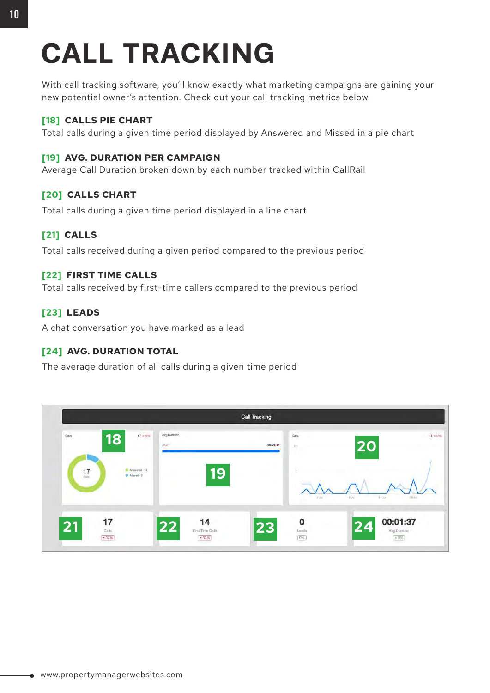## **CALL TRACKING**

With call tracking software, you'll know exactly what marketing campaigns are gaining your new potential owner's attention. Check out your call tracking metrics below.

#### **[18] CALLS PIE CHART**

Total calls during a given time period displayed by Answered and Missed in a pie chart

#### **[19] AVG. DURATION PER CAMPAIGN**

Average Call Duration broken down by each number tracked within CallRail

#### **[20] CALLS CHART**

Total calls during a given time period displayed in a line chart

#### **[21] CALLS**

Total calls received during a given period compared to the previous period

#### **[22] FIRST TIME CALLS**

Total calls received by first-time callers compared to the previous period

#### **[23] LEADS**

A chat conversation you have marked as a lead

#### **[24] AVG. DURATION TOTAL**

The average duration of all calls during a given time period

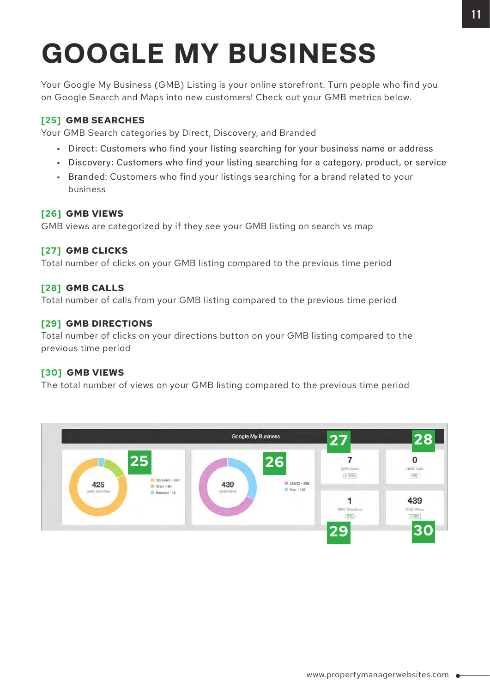## **GOOGLE MY BUSINESS**

Your Google My Business (GMB) Listing is your online storefront. Turn people who find you on Google Search and Maps into new customers! Check out your GMB metrics below.

#### **[25] GMB SEARCHES**

Your GMB Search categories by Direct, Discovery, and Branded

- Direct: Customers who find your listing searching for your business name or address
- Discovery: Customers who find your listing searching for a category, product, or service
- Branded: Customers who find your listings searching for a brand related to your business

#### **[26] GMB VIEWS**

GMB views are categorized by if they see your GMB listing on search vs map

#### **[27] GMB CLICKS**

Total number of clicks on your GMB listing compared to the previous time period

#### **[28] GMB CALLS**

Total number of calls from your GMB listing compared to the previous time period

#### **[29] GMB DIRECTIONS**

Total number of clicks on your directions button on your GMB listing compared to the previous time period

#### **[30] GMB VIEWS**

The total number of views on your GMB listing compared to the previous time period